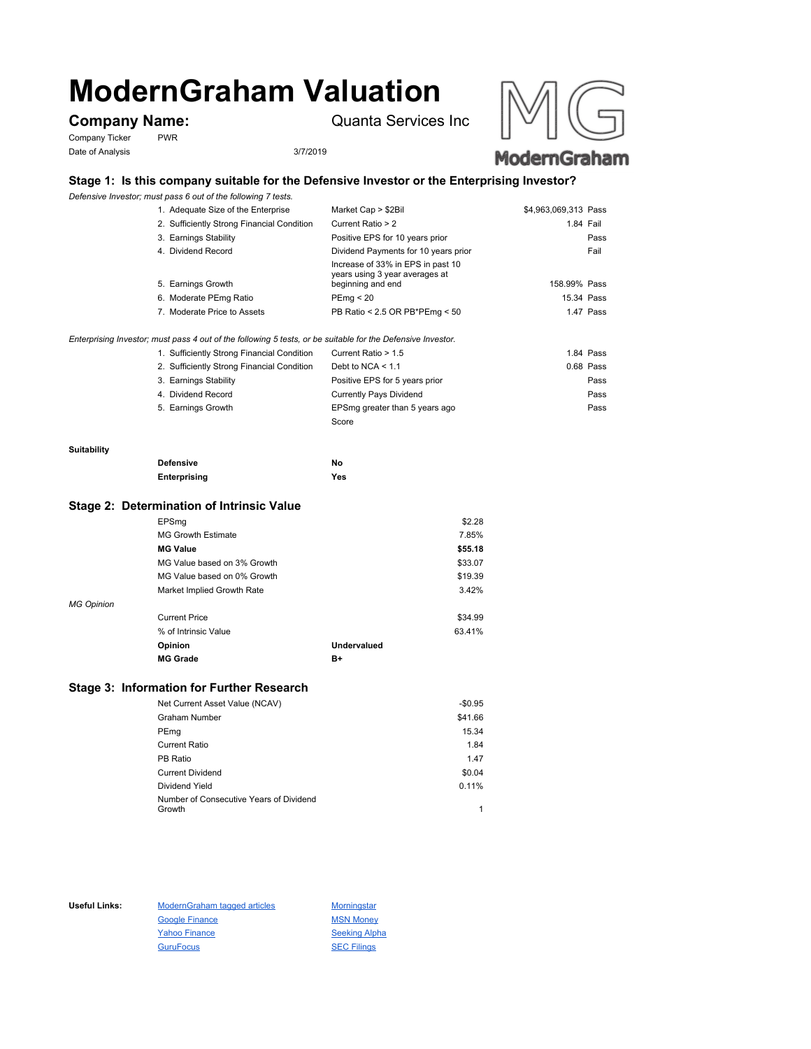# **ModernGraham Valuation**

Company Ticker PWR Date of Analysis 3/7/2019

**Company Name:** Quanta Services Inc



# **Stage 1: Is this company suitable for the Defensive Investor or the Enterprising Investor?**

*Defensive Investor; must pass 6 out of the following 7 tests.*

| 1. Adequate Size of the Enterprise         | Market Cap > \$2Bil                                                                      | \$4,963,069,313 Pass |           |
|--------------------------------------------|------------------------------------------------------------------------------------------|----------------------|-----------|
| 2. Sufficiently Strong Financial Condition | Current Ratio > 2                                                                        | 1.84 Fail            |           |
| 3. Earnings Stability                      | Positive EPS for 10 years prior                                                          |                      | Pass      |
| 4. Dividend Record                         | Dividend Payments for 10 years prior                                                     |                      | Fail      |
| 5. Earnings Growth                         | Increase of 33% in EPS in past 10<br>years using 3 year averages at<br>beginning and end | 158.99% Pass         |           |
| 6. Moderate PEmg Ratio                     | PEmg < 20                                                                                | 15.34 Pass           |           |
| 7. Moderate Price to Assets                | PB Ratio < 2.5 OR PB*PEmg < 50                                                           |                      | 1.47 Pass |
|                                            |                                                                                          |                      |           |

*Enterprising Investor; must pass 4 out of the following 5 tests, or be suitable for the Defensive Investor.*

| 1. Sufficiently Strong Financial Condition | Current Ratio > 1.5            | 1.84 Pass |
|--------------------------------------------|--------------------------------|-----------|
| 2. Sufficiently Strong Financial Condition | Debt to NCA $<$ 1.1            | 0.68 Pass |
| 3. Earnings Stability                      | Positive EPS for 5 years prior | Pass      |
| 4. Dividend Record                         | <b>Currently Pays Dividend</b> | Pass      |
| 5. Earnings Growth                         | EPSmg greater than 5 years ago | Pass      |
|                                            | Score                          |           |

#### **Suitability**

| <b>Defensive</b> | No  |
|------------------|-----|
| Enterprising     | Yes |

### **Stage 2: Determination of Intrinsic Value**

|                   | EPSmg                       |             | \$2.28  |
|-------------------|-----------------------------|-------------|---------|
|                   | <b>MG Growth Estimate</b>   |             | 7.85%   |
|                   | <b>MG Value</b>             |             | \$55.18 |
|                   | MG Value based on 3% Growth |             | \$33.07 |
|                   | MG Value based on 0% Growth |             | \$19.39 |
|                   | Market Implied Growth Rate  |             | 3.42%   |
| <b>MG Opinion</b> |                             |             |         |
|                   | <b>Current Price</b>        |             | \$34.99 |
|                   | % of Intrinsic Value        |             | 63.41%  |
|                   | Opinion                     | Undervalued |         |
|                   | <b>MG Grade</b>             | B+          |         |
|                   |                             |             |         |

## **Stage 3: Information for Further Research**

| Net Current Asset Value (NCAV)          | $-$0.95$ |
|-----------------------------------------|----------|
| Graham Number                           | \$41.66  |
| PEmg                                    | 15.34    |
| Current Ratio                           | 1.84     |
| PB Ratio                                | 1.47     |
| <b>Current Dividend</b>                 | \$0.04   |
| Dividend Yield                          | 0.11%    |
| Number of Consecutive Years of Dividend |          |
| Growth                                  | 1        |

Useful Links: ModernGraham tagged articles Morningstar Google Finance MSN Money Yahoo Finance Seeking Alpha GuruFocus SEC Filings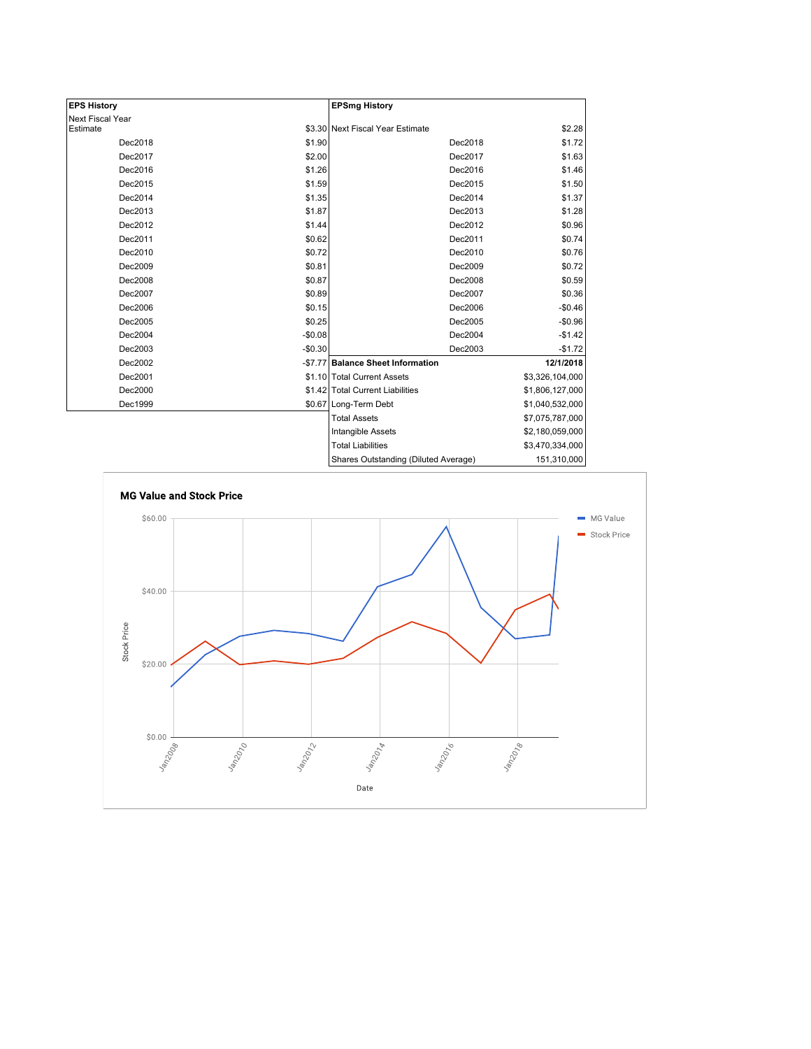| <b>EPS History</b> |          | <b>EPSmg History</b>                 |                 |
|--------------------|----------|--------------------------------------|-----------------|
| Next Fiscal Year   |          |                                      |                 |
| Estimate           |          | \$3.30 Next Fiscal Year Estimate     | \$2.28          |
| Dec2018            | \$1.90   | Dec2018                              | \$1.72          |
| Dec2017            | \$2.00   | Dec2017                              | \$1.63          |
| Dec2016            | \$1.26   | Dec2016                              | \$1.46          |
| Dec2015            | \$1.59   | Dec2015                              | \$1.50          |
| Dec2014            | \$1.35   | Dec2014                              | \$1.37          |
| Dec2013            | \$1.87   | Dec2013                              | \$1.28          |
| Dec2012            | \$1.44   | Dec2012                              | \$0.96          |
| Dec2011            | \$0.62   | Dec2011                              | \$0.74          |
| Dec2010            | \$0.72   | Dec2010                              | \$0.76          |
| Dec2009            | \$0.81   | Dec2009                              | \$0.72          |
| Dec2008            | \$0.87   | Dec2008                              | \$0.59          |
| Dec2007            | \$0.89   | Dec2007                              | \$0.36          |
| Dec2006            | \$0.15   | Dec2006                              | $-$0.46$        |
| Dec2005            | \$0.25   | Dec2005                              | $-$0.96$        |
| Dec2004            | $-$0.08$ | Dec2004                              | $-$1.42$        |
| Dec2003            | $-$0.30$ | Dec2003                              | $-$1.72$        |
| Dec2002            | $-$7.77$ | <b>Balance Sheet Information</b>     | 12/1/2018       |
| Dec2001            |          | \$1.10 Total Current Assets          | \$3,326,104,000 |
| Dec2000            |          | \$1.42 Total Current Liabilities     | \$1,806,127,000 |
| Dec1999            |          | \$0.67 Long-Term Debt                | \$1,040,532,000 |
|                    |          | <b>Total Assets</b>                  | \$7,075,787,000 |
|                    |          | Intangible Assets                    | \$2,180,059,000 |
|                    |          | <b>Total Liabilities</b>             | \$3,470,334,000 |
|                    |          | Shares Outstanding (Diluted Average) | 151,310,000     |